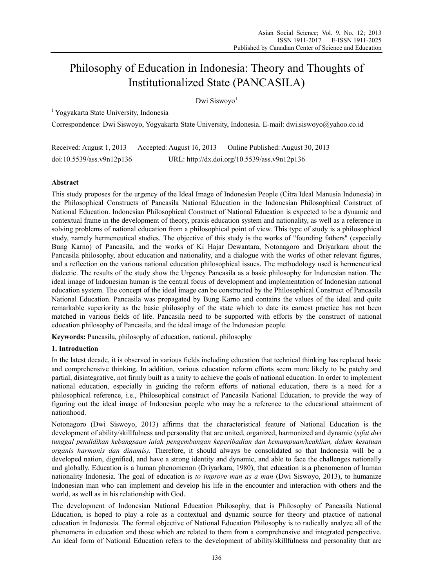# Philosophy of Education in Indonesia: Theory and Thoughts of Institutionalized State (PANCASILA)

# Dwi Siswoyo<sup>1</sup>

1 Yogyakarta State University, Indonesia

Correspondence: Dwi Siswoyo, Yogyakarta State University, Indonesia. E-mail: dwi.siswoyo@yahoo.co.id

Received: August 1, 2013 Accepted: August 16, 2013 Online Published: August 30, 2013 doi:10.5539/ass.v9n12p136 URL: http://dx.doi.org/10.5539/ass.v9n12p136

# **Abstract**

This study proposes for the urgency of the Ideal Image of Indonesian People (Citra Ideal Manusia Indonesia) in the Philosophical Constructs of Pancasila National Education in the Indonesian Philosophical Construct of National Education. Indonesian Philosophical Construct of National Education is expected to be a dynamic and contextual frame in the development of theory, praxis education system and nationality, as well as a reference in solving problems of national education from a philosophical point of view. This type of study is a philosophical study, namely hermeneutical studies. The objective of this study is the works of "founding fathers" (especially Bung Karno) of Pancasila, and the works of Ki Hajar Dewantara, Notonagoro and Driyarkara about the Pancasila philosophy, about education and nationality, and a dialogue with the works of other relevant figures, and a reflection on the various national education philosophical issues. The methodology used is hermeneutical dialectic. The results of the study show the Urgency Pancasila as a basic philosophy for Indonesian nation. The ideal image of Indonesian human is the central focus of development and implementation of Indonesian national education system. The concept of the ideal image can be constructed by the Philosophical Construct of Pancasila National Education. Pancasila was propagated by Bung Karno and contains the values of the ideal and quite remarkable superiority as the basic philosophy of the state which to date its earnest practice has not been matched in various fields of life. Pancasila need to be supported with efforts by the construct of national education philosophy of Pancasila, and the ideal image of the Indonesian people.

**Keywords:** Pancasila, philosophy of education, national, philosophy

### **1. Introduction**

In the latest decade, it is observed in various fields including education that technical thinking has replaced basic and comprehensive thinking. In addition, various education reform efforts seem more likely to be patchy and partial, disintegrative, not firmly built as a unity to achieve the goals of national education. In order to implement national education, especially in guiding the reform efforts of national education, there is a need for a philosophical reference, i.e., Philosophical construct of Pancasila National Education, to provide the way of figuring out the ideal image of Indonesian people who may be a reference to the educational attainment of nationhood.

Notonagoro (Dwi Siswoyo, 2013) affirms that the characteristical feature of National Education is the development of ability/skillfulness and personality that are united, organized, harmonized and dynamic (*sifat dwi tunggal pendidikan kebangsaan ialah pengembangan keperibadian dan kemampuan/keahlian, dalam kesatuan organis harmonis dan dinamis).* Therefore, it should always be consolidated so that Indonesia will be a developed nation, dignified, and have a strong identity and dynamic, and able to face the challenges nationally and globally. Education is a human phenomenon (Driyarkara, 1980), that education is a phenomenon of human nationality Indonesia. The goal of education is *to improve man as a man* (Dwi Siswoyo, 2013), to humanize Indonesian man who can implement and develop his life in the encounter and interaction with others and the world, as well as in his relationship with God.

The development of Indonesian National Education Philosophy, that is Philosophy of Pancasila National Education, is hoped to play a role as a contextual and dynamic source for theory and ptactice of national education in Indonesia. The formal objective of National Education Philosophy is to radically analyze all of the phenomena in education and those which are related to them from a comprehensive and integrated perspective. An ideal form of National Education refers to the development of ability/skillfulness and personality that are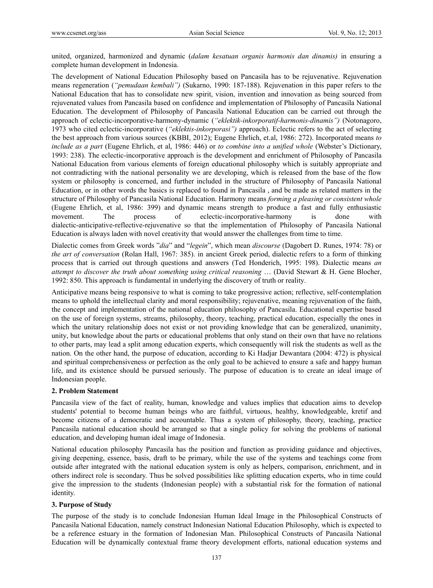united, organized, harmonized and dynamic (*dalam kesatuan organis harmonis dan dinamis)* in ensuring a complete human development in Indonesia.

The development of National Education Philosophy based on Pancasila has to be rejuvenative. Rejuvenation means regeneration (*"pemudaan kembali")* (Sukarno, 1990: 187-188). Rejuvenation in this paper refers to the National Education that has to consolidate new spirit, vision, invention and innovation as being sourced from rejuvenated values from Pancasila based on confidence and implementation of Philosophy of Pancasila National Education. The development of Philosophy of Pancasila National Education can be carried out through the approach of eclectic-incorporative-harmony-dynamic (*"eklektik-inkorporatif-harmonis-dinamis")* (Notonagoro, 1973 who cited eclectic-incorporative (*"eklektis-inkorporasi")* approach). Eclectic refers to the act of selecting the best approach from various sources (KBBI, 2012); Eugene Ehrlich, et.al, 1986: 272). Incorporated means *to include as a part* (Eugene Ehrlich, et al, 1986: 446) or *to combine into a unified whole* (Webster's Dictionary, 1993: 238). The eclectic-incorporative approach is the development and enrichment of Philosophy of Pancasila National Education from various elements of foreign educational philosophy which is suitably appropriate and not contradicting with the national personality we are developing, which is released from the base of the flow system or philosophy is concerned, and further included in the structure of Philosophy of Pancasila National Education, or in other words the basics is replaced to found in Pancasila , and be made as related matters in the structure of Philosophy of Pancasila National Education. Harmony means *forming a pleasing or consistent whole* (Eugene Ehrlich, et al, 1986: 399) and dynamic means strength to produce a fast and fully enthusiastic movement. The process of eclectic-incorporative-harmony is done with dialectic-anticipative-reflective-rejuvenative so that the implementation of Philosophy of Pancasila National Education is always laden with novel creativity that would answer the challenges from time to time.

Dialectic comes from Greek words "*dia*" and "*legein*", which mean *discourse* (Dagobert D. Runes, 1974: 78) or *the art of conversation* (Rolan Hall, 1967: 385). in ancient Greek period, dialectic refers to a form of thinking process that is carried out through questions and answers (Ted Honderich, 1995: 198). Dialectic means *an attempt to discover the truth about something using critical reasoning* … (David Stewart & H. Gene Blocher, 1992: 850. This approach is fundamental in underlying the discovery of truth or reality.

Anticipative means being responsive to what is coming to take progressive action; reflective, self-contemplation means to uphold the intellectual clarity and moral responsibility; rejuvenative, meaning rejuvenation of the faith, the concept and implementation of the national education philosophy of Pancasila. Educational expertise based on the use of foreign systems, streams, philosophy, theory, teaching, practical education, especially the ones in which the unitary relationship does not exist or not providing knowledge that can be generalized, unanimity, unity, but knowledge about the parts or educational problems that only stand on their own that have no relations to other parts, may lead a split among education experts, which consequently will risk the students as well as the nation. On the other hand, the purpose of education, according to Ki Hadjar Dewantara (2004: 472) is physical and spiritual comprehensiveness or perfection as the only goal to be achieved to ensure a safe and happy human life, and its existence should be pursued seriously. The purpose of education is to create an ideal image of Indonesian people.

### **2. Problem Statement**

Pancasila view of the fact of reality, human, knowledge and values implies that education aims to develop students' potential to become human beings who are faithful, virtuous, healthy, knowledgeable, kretif and become citizens of a democratic and accountable. Thus a system of philosophy, theory, teaching, practice Pancasila national education should be arranged so that a single policy for solving the problems of national education, and developing human ideal image of Indonesia.

National education philosophy Pancasila has the position and function as providing guidance and objectives, giving deepening, essence, basis, draft to be primary, while the use of the systems and teachings come from outside after integrated with the national education system is only as helpers, comparison, enrichment, and in others indirect role is secondary. Thus be solved possibilities like splitting education experts, who in time could give the impression to the students (Indonesian people) with a substantial risk for the formation of national identity.

## **3. Purpose of Study**

The purpose of the study is to conclude Indonesian Human Ideal Image in the Philosophical Constructs of Pancasila National Education, namely construct Indonesian National Education Philosophy, which is expected to be a reference estuary in the formation of Indonesian Man. Philosophical Constructs of Pancasila National Education will be dynamically contextual frame theory development efforts, national education systems and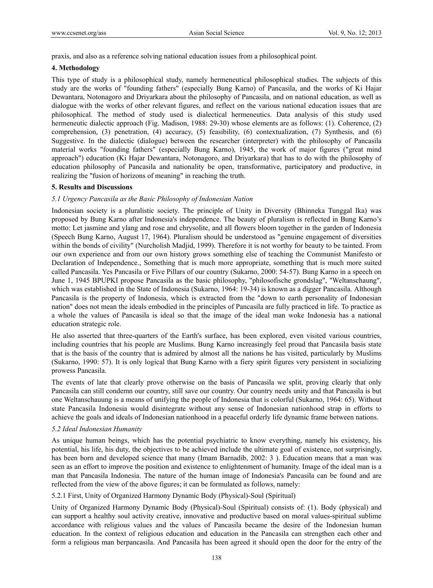praxis, and also as a reference solving national education issues from a philosophical point.

# **4. Methodology**

This type of study is a philosophical study, namely hermeneutical philosophical studies. The subjects of this study are the works of "founding fathers" (especially Bung Karno) of Pancasila, and the works of Ki Hajar Dewantara, Notonagoro and Driyarkara about the philosophy of Pancasila, and on national education, as well as dialogue with the works of other relevant figures, and reflect on the various national education issues that are philosophical. The method of study used is dialectical hermeneutics. Data analysis of this study used hermeneutic dialectic approach (Fig. Madison, 1988: 29-30) whose elements are as follows: (1). Coherence, (2) comprehension, (3) penetration, (4) accuracy, (5) feasibility, (6) contextualization, (7) Synthesis, and (6) Suggestive. In the dialectic (dialogue) between the researcher (interpreter) with the philosophy of Pancasila material works "founding fathers" (especially Bung Karno), 1945, the work of major figures ("great mind approach") education (Ki Hajar Dewantara, Notonagoro, and Driyarkara) that has to do with the philosophy of education philosophy of Pancasila and nationality be open, transformative, participatory and productive, in realizing the "fusion of horizons of meaning" in reaching the truth.

# **5. Results and Discussions**

# *5.1 Urgency Pancasila as the Basic Philosophy of Indonesian Nation*

Indonesian society is a pluralistic society. The principle of Unity in Diversity (Bhinneka Tunggal Ika) was proposed by Bung Karno after Indonesia's independence. The beauty of pluralism is reflected in Bung Karno's motto: Let jasmine and ylang and rose and chrysolite, and all flowers bloom together in the garden of Indonesia (Speech Bung Karno, August 17, 1964). Pluralism should be understood as "genuine engagement of diversities within the bonds of civility" (Nurcholish Madjid, 1999). Therefore it is not worthy for beauty to be tainted. From our own experience and from our own history grows something else of teaching the Communist Manifesto or Declaration of Independence., Something that is much more appropriate, something that is much more suited called Pancasila. Yes Pancasila or Five Pillars of our country (Sukarno, 2000: 54-57). Bung Karno in a speech on June 1, 1945 BPUPKI propose Pancasila as the basic philosophy, "philosofische grondslag", "Weltanschaung", which was established in the State of Indonesia (Sukarno, 1964: 19-34) is known as a digger Pancasila. Although Pancasila is the property of Indonesia, which is extracted from the "down to earth personality of Indonesian nation" does not mean the ideals embodied in the principles of Pancasila are fully practiced in life. To practice as a whole the values of Pancasila is ideal so that the image of the ideal man woke Indonesia has a national education strategic role.

He also asserted that three-quarters of the Earth's surface, has been explored, even visited various countries, including countries that his people are Muslims. Bung Karno increasingly feel proud that Pancasila basis state that is the basis of the country that is admired by almost all the nations he has visited, particularly by Muslims (Sukarno, 1990: 57). It is only logical that Bung Karno with a fiery spirit figures very persistent in socializing prowess Pancasila.

The events of late that clearly prove otherwise on the basis of Pancasila we split, proving clearly that only Pancasila can still condemn our country, still save our country. Our country needs unity and that Pancasila is but one Weltanschauung is a means of unifying the people of Indonesia that is colorful (Sukarno, 1964: 65). Without state Pancasila Indonesia would disintegrate without any sense of Indonesian nationhood strap in efforts to achieve the goals and ideals of Indonesian nationhood in a peaceful orderly life dynamic frame between nations.

### *5.2 Ideal Indonesian Humanity*

As unique human beings, which has the potential psychiatric to know everything, namely his existency, his potential, his life, his duty, the objectives to be achieved include the ultimate goal of existence, not surprisingly, has been born and developed science that many (Imam Barnadib, 2002: 3 ). Education means that a man was seen as an effort to improve the position and existence to enlightenment of humanity. Image of the ideal man is a man that Pancasila Indonesia. The nature of the human image of Indonesia's Pancasila can be found and are reflected from the view of the above figures; it can be formulated as follows, namely:

### 5.2.1 First, Unity of Organized Harmony Dynamic Body (Physical)-Soul (Spiritual)

Unity of Organized Harmony Dynamic Body (Physical)-Soul (Spiritual) consists of: (1). Body (physical) and can support a healthy soul activity creative, innovative and productive based on moral values-spiritual sublime accordance with religious values and the values of Pancasila became the desire of the Indonesian human education. In the context of religious education and education in the Pancasila can strengthen each other and form a religious man berpancasila. And Pancasila has been agreed it should open the door for the entry of the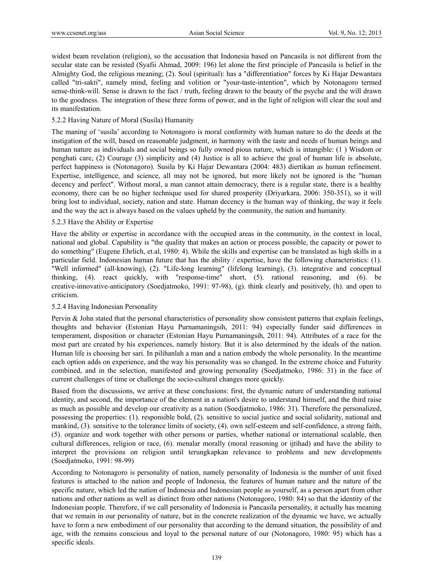widest beam revelation (religion), so the accusation that Indonesia based on Pancasila is not different from the secular state can be resisted (Syafii Ahmad, 2009: 196) let alone the first principle of Pancasila is belief in the Almighty God, the religious meaning; (2). Soul (spiritual): has a "differentiation" forces by Ki Hajar Dewantara called "tri-sakti", namely mind, feeling and volition or "your-taste-intention", which by Notonagoro termed sense-think-will. Sense is drawn to the fact / truth, feeling drawn to the beauty of the psyche and the will drawn to the goodness. The integration of these three forms of power, and in the light of religion will clear the soul and its manifestation.

#### 5.2.2 Having Nature of Moral (Susila) Humanity

The maning of 'susila' according to Notonagoro is moral conformity with human nature to do the deeds at the instigation of the will, based on reasonable judgment, in harmony with the taste and needs of human beings and human nature as individuals and social beings so fully owned pious nature, which is intangible: (1 ) Wisdom or penghati care, (2) Courage (3) simplicity and (4) Justice is all to achieve the goal of human life is absolute, perfect happiness is (Notonagoro). Susila by Ki Hajar Dewantara (2004: 483) diertikan as human refinement. Expertise, intelligence, and science, all may not be ignored, but more likely not be ignored is the "human decency and perfect". Without moral, a man cannot attain democracy, there is a regular state, there is a healthy economy, there can be no higher technique used for shared prosperity (Driyarkara, 2006: 350-351), so it will bring lost to individual, society, nation and state. Human decency is the human way of thinking, the way it feels and the way the act is always based on the values upheld by the community, the nation and humanity.

#### 5.2.3 Have the Ability or Expertise

Have the ability or expertise in accordance with the occupied areas in the community, in the context in local, national and global. Capability is "the quality that makes an action or process possible, the capacity or power to do something" (Eugene Ehrlich, et.al, 1980: 4). While the skills and expertise can be translated as high skills in a particular field. Indonesian human future that has the ability / expertise, have the following characteristics: (1). "Well informed" (all-knowing), (2). "Life-long learning" (lifelong learning), (3). integrative and conceptual thinking, (4). react quickly, with "response-time" short, (5). rational reasoning, and (6). be creative-innovative-anticipatory (Soedjatmoko, 1991: 97-98), (g). think clearly and positively, (h). and open to criticism.

### 5.2.4 Having Indonesian Personality

Pervin & John stated that the personal characteristics of personality show consistent patterns that explain feelings, thoughts and behavior (Estonian Hayu Purnamaningsih, 2011: 94) especially funder said differences in temperament, disposition or character (Estonian Hayu Purnamaningsih, 2011: 94). Attributes of a race for the most part are created by his experiences, namely history. But it is also determined by the ideals of the nation. Human life is choosing her sari. In pilihanlah a man and a nation embody the whole personality. In the meantime each option adds on experience, and the way his personality was so changed. In the extreme choice and Futurity combined, and in the selection, manifested and growing personality (Soedjatmoko, 1986: 31) in the face of current challenges of time or challenge the socio-cultural changes more quickly.

Based from the discussions, we arrive at these conclusions: first, the dynamic nature of understanding national identity, and second, the importance of the element in a nation's desire to understand himself, and the third raise as much as possible and develop our creativity as a nation (Soedjatmoko, 1986: 31). Therefore the personalized, possessing the properties: (1). responsible bold, (2). sensitive to social justice and social solidarity, national and mankind, (3). sensitive to the tolerance limits of society, (4). own self-esteem and self-confidence, a strong faith, (5). organize and work together with other persons or parties, whether national or international scalable, then cultural differences, religion or race, (6). menalar morally (moral reasoning or ijtihad) and have the ability to interpret the provisions on religion until terungkapkan relevance to problems and new developments (Soedjatmoko, 1991: 98-99)

According to Notonagoro is personality of nation, namely personality of Indonesia is the number of unit fixed features is attached to the nation and people of Indonesia, the features of human nature and the nature of the specific nature, which led the nation of Indonesia and Indonesian people as yourself, as a person apart from other nations and other nations as well as distinct from other nations (Notonagoro, 1980: 84) so that the identity of the Indonesian people. Therefore, if we call personality of Indonesia is Pancasila personality, it actually has meaning that we remain in our personality of nature, but in the concrete realization of the dynamic we have, we actually have to form a new embodiment of our personality that according to the demand situation, the possibility of and age, with the remains conscious and loyal to the personal nature of our (Notonagoro, 1980: 95) which has a specific ideals.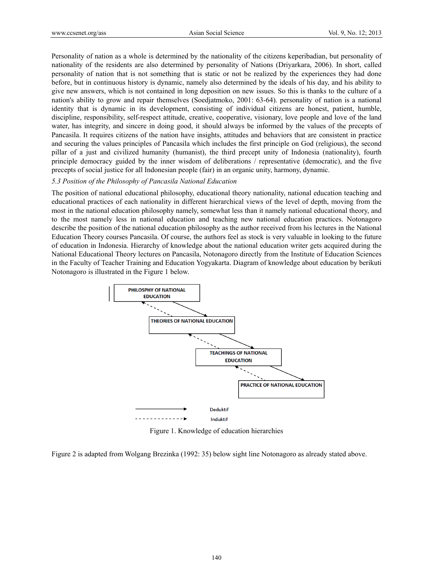Personality of nation as a whole is determined by the nationality of the citizens keperibadian, but personality of nationality of the residents are also determined by personality of Nations (Driyarkara, 2006). In short, called personality of nation that is not something that is static or not be realized by the experiences they had done before, but in continuous history is dynamic, namely also determined by the ideals of his day, and his ability to give new answers, which is not contained in long deposition on new issues. So this is thanks to the culture of a nation's ability to grow and repair themselves (Soedjatmoko, 2001: 63-64). personality of nation is a national identity that is dynamic in its development, consisting of individual citizens are honest, patient, humble, discipline, responsibility, self-respect attitude, creative, cooperative, visionary, love people and love of the land water, has integrity, and sincere in doing good, it should always be informed by the values of the precepts of Pancasila. It requires citizens of the nation have insights, attitudes and behaviors that are consistent in practice and securing the values principles of Pancasila which includes the first principle on God (religious), the second pillar of a just and civilized humanity (humanist), the third precept unity of Indonesia (nationality), fourth principle democracy guided by the inner wisdom of deliberations / representative (democratic), and the five precepts of social justice for all Indonesian people (fair) in an organic unity, harmony, dynamic.

#### *5.3 Position of the Philosophy of Pancasila National Education*

The position of national educational philosophy, educational theory nationality, national education teaching and educational practices of each nationality in different hierarchical views of the level of depth, moving from the most in the national education philosophy namely, somewhat less than it namely national educational theory, and to the most namely less in national education and teaching new national education practices. Notonagoro describe the position of the national education philosophy as the author received from his lectures in the National Education Theory courses Pancasila. Of course, the authors feel as stock is very valuable in looking to the future of education in Indonesia. Hierarchy of knowledge about the national education writer gets acquired during the National Educational Theory lectures on Pancasila, Notonagoro directly from the Institute of Education Sciences in the Faculty of Teacher Training and Education Yogyakarta. Diagram of knowledge about education by berikuti Notonagoro is illustrated in the Figure 1 below.



Figure 1. Knowledge of education hierarchies

Figure 2 is adapted from Wolgang Brezinka (1992: 35) below sight line Notonagoro as already stated above.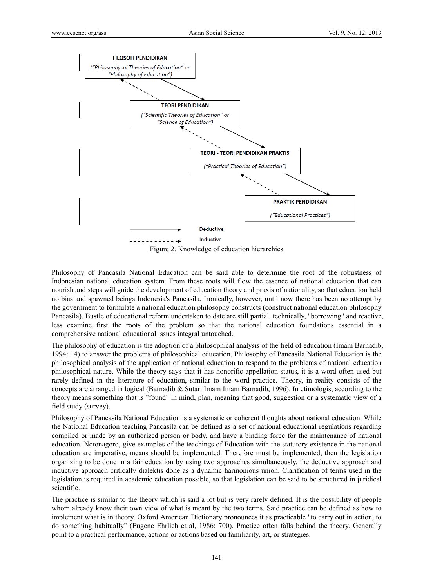

Philosophy of Pancasila National Education can be said able to determine the root of the robustness of Indonesian national education system. From these roots will flow the essence of national education that can nourish and steps will guide the development of education theory and praxis of nationality, so that education held no bias and spawned beings Indonesia's Pancasila. Ironically, however, until now there has been no attempt by the government to formulate a national education philosophy constructs (construct national education philosophy Pancasila). Bustle of educational reform undertaken to date are still partial, technically, "borrowing" and reactive, less examine first the roots of the problem so that the national education foundations essential in a comprehensive national educational issues integral untouched.

The philosophy of education is the adoption of a philosophical analysis of the field of education (Imam Barnadib, 1994: 14) to answer the problems of philosophical education. Philosophy of Pancasila National Education is the philosophical analysis of the application of national education to respond to the problems of national education philosophical nature. While the theory says that it has honorific appellation status, it is a word often used but rarely defined in the literature of education, similar to the word practice. Theory, in reality consists of the concepts are arranged in logical (Barnadib & Sutari Imam Imam Barnadib, 1996). In etimologis, according to the theory means something that is "found" in mind, plan, meaning that good, suggestion or a systematic view of a field study (survey).

Philosophy of Pancasila National Education is a systematic or coherent thoughts about national education. While the National Education teaching Pancasila can be defined as a set of national educational regulations regarding compiled or made by an authorized person or body, and have a binding force for the maintenance of national education. Notonagoro, give examples of the teachings of Education with the statutory existence in the national education are imperative, means should be implemented. Therefore must be implemented, then the legislation organizing to be done in a fair education by using two approaches simultaneously, the deductive approach and inductive approach critically dialektis done as a dynamic harmonious union. Clarification of terms used in the legislation is required in academic education possible, so that legislation can be said to be structured in juridical scientific.

The practice is similar to the theory which is said a lot but is very rarely defined. It is the possibility of people whom already know their own view of what is meant by the two terms. Said practice can be defined as how to implement what is in theory. Oxford American Dictionary pronounces it as practicable "to carry out in action, to do something habitually" (Eugene Ehrlich et al, 1986: 700). Practice often falls behind the theory. Generally point to a practical performance, actions or actions based on familiarity, art, or strategies.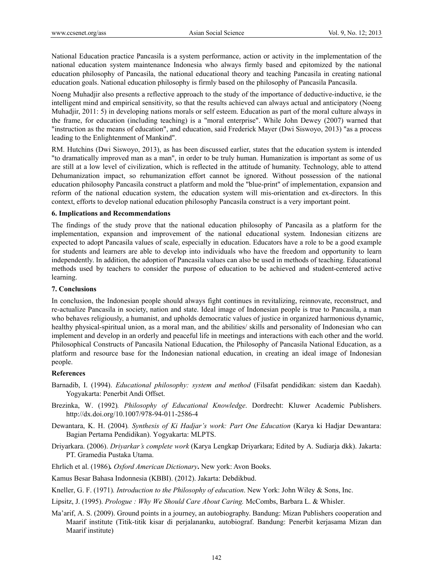National Education practice Pancasila is a system performance, action or activity in the implementation of the national education system maintenance Indonesia who always firmly based and epitomized by the national education philosophy of Pancasila, the national educational theory and teaching Pancasila in creating national education goals. National education philosophy is firmly based on the philosophy of Pancasila Pancasila.

Noeng Muhadjir also presents a reflective approach to the study of the importance of deductive-inductive, ie the intelligent mind and empirical sensitivity, so that the results achieved can always actual and anticipatory (Noeng Muhadjir, 2011: 5) in developing nations morals or self esteem. Education as part of the moral culture always in the frame, for education (including teaching) is a "moral enterprise". While John Dewey (2007) warned that "instruction as the means of education", and education, said Frederick Mayer (Dwi Siswoyo, 2013) "as a process leading to the Enlightenment of Mankind".

RM. Hutchins (Dwi Siswoyo, 2013), as has been discussed earlier, states that the education system is intended "to dramatically improved man as a man", in order to be truly human. Humanization is important as some of us are still at a low level of civilization, which is reflected in the attitude of humanity. Technology, able to attend Dehumanization impact, so rehumanization effort cannot be ignored. Without possession of the national education philosophy Pancasila construct a platform and mold the "blue-print" of implementation, expansion and reform of the national education system, the education system will mis-orientation and ex-directors. In this context, efforts to develop national education philosophy Pancasila construct is a very important point.

#### **6. Implications and Recommendations**

The findings of the study prove that the national education philosophy of Pancasila as a platform for the implementation, expansion and improvement of the national educational system. Indonesian citizens are expected to adopt Pancasila values of scale, especially in education. Educators have a role to be a good example for students and learners are able to develop into individuals who have the freedom and opportunity to learn independently. In addition, the adoption of Pancasila values can also be used in methods of teaching. Educational methods used by teachers to consider the purpose of education to be achieved and student-centered active learning.

# **7. Conclusions**

In conclusion, the Indonesian people should always fight continues in revitalizing, reinnovate, reconstruct, and re-actualize Pancasila in society, nation and state. Ideal image of Indonesian people is true to Pancasila, a man who behaves religiously, a humanist, and upholds democratic values of justice in organized harmonious dynamic, healthy physical-spiritual union, as a moral man, and the abilities/ skills and personality of Indonesian who can implement and develop in an orderly and peaceful life in meetings and interactions with each other and the world. Philosophical Constructs of Pancasila National Education, the Philosophy of Pancasila National Education, as a platform and resource base for the Indonesian national education, in creating an ideal image of Indonesian people.

### **References**

- Barnadib, I. (1994). *Educational philosophy: system and method* (Filsafat pendidikan: sistem dan Kaedah). Yogyakarta: Penerbit Andi Offset.
- Brezinka, W. (1992)*. Philosophy of Educational Knowledge*. Dordrecht: Kluwer Academic Publishers. http://dx.doi.org/10.1007/978-94-011-2586-4
- Dewantara, K. H. (2004)*. Synthesis of Ki Hadjar's work: Part One Education* (Karya ki Hadjar Dewantara: Bagian Pertama Pendidikan). Yogyakarta: MLPTS.
- Driyarkara. (2006). *Driyarkar's complete work* (Karya Lengkap Driyarkara; Edited by A. Sudiarja dkk). Jakarta: PT. Gramedia Pustaka Utama.
- Ehrlich et al. (1986)*. Oxford American Dictionary***.** New york: Avon Books.
- Kamus Besar Bahasa Indonnesia (KBBI). (2012). Jakarta: Debdikbud.
- Kneller, G. F. (1971)*. Introduction to the Philosophy of education*. New York: John Wiley & Sons, Inc.
- Lipsitz, J. (1995). *Prologue : Why We Should Care About Caring.* McCombs, Barbara L. & Whisler.
- Ma'arif, A. S. (2009). Ground points in a journey, an autobiography. Bandung: Mizan Publishers cooperation and Maarif institute (Titik-titik kisar di perjalananku, autobiograf. Bandung: Penerbit kerjasama Mizan dan Maarif institute)